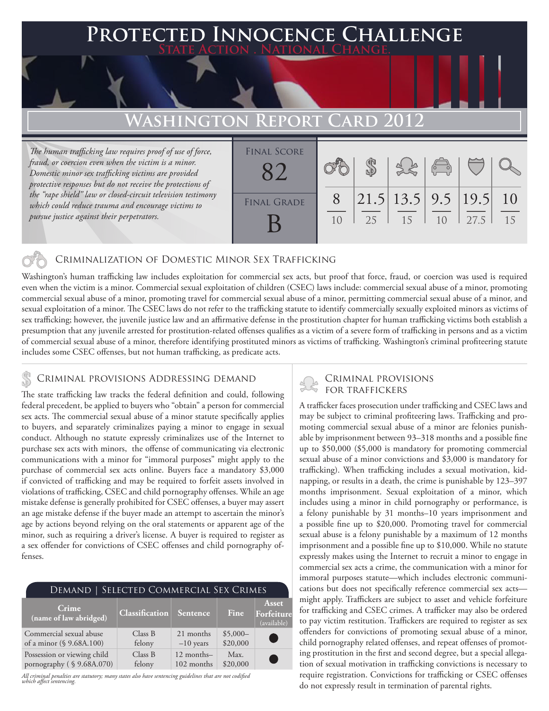#### **PECTED INNOCENCE CHALLENGE State Action . National Change. Washington Report Card 2012** *The human trafficking law requires proof of use of force, fraud, or coercion even when the victim is a minor. Domestic minor sex trafficking victims are provided protective responses but do not receive the protections of the "rape shield" law or closed-circuit television testimony which could reduce trauma and encourage victims to*  8 \$ 21.5 13.5 9.5 19.5 10 Final Score FINAL GRADE 82

### Criminalization of Domestic Minor Sex Trafficking

Washington's human trafficking law includes exploitation for commercial sex acts, but proof that force, fraud, or coercion was used is required even when the victim is a minor. Commercial sexual exploitation of children (CSEC) laws include: commercial sexual abuse of a minor, promoting commercial sexual abuse of a minor, promoting travel for commercial sexual abuse of a minor, permitting commercial sexual abuse of a minor, and sexual exploitation of a minor. The CSEC laws do not refer to the trafficking statute to identify commercially sexually exploited minors as victims of sex trafficking; however, the juvenile justice law and an affirmative defense in the prostitution chapter for human trafficking victims both establish a presumption that any juvenile arrested for prostitution-related offenses qualifies as a victim of a severe form of trafficking in persons and as a victim of commercial sexual abuse of a minor, therefore identifying prostituted minors as victims of trafficking. Washington's criminal profiteering statute includes some CSEC offenses, but not human trafficking, as predicate acts.

B

## CRIMINAL PROVISIONS ADDRESSING DEMAND<br>FOR TRAFFICKERS

*pursue justice against their perpetrators.*

The state trafficking law tracks the federal definition and could, following federal precedent, be applied to buyers who "obtain" a person for commercial sex acts. The commercial sexual abuse of a minor statute specifically applies to buyers, and separately criminalizes paying a minor to engage in sexual conduct. Although no statute expressly criminalizes use of the Internet to purchase sex acts with minors, the offense of communicating via electronic communications with a minor for "immoral purposes" might apply to the purchase of commercial sex acts online. Buyers face a mandatory \$3,000 if convicted of trafficking and may be required to forfeit assets involved in violations of trafficking, CSEC and child pornography offenses. While an age mistake defense is generally prohibited for CSEC offenses, a buyer may assert an age mistake defense if the buyer made an attempt to ascertain the minor's age by actions beyond relying on the oral statements or apparent age of the minor, such as requiring a driver's license. A buyer is required to register as a sex offender for convictions of CSEC offenses and child pornography offenses.

| DEMAND   SELECTED COMMERCIAL SEX CRIMES |                       |             |             |                                    |
|-----------------------------------------|-----------------------|-------------|-------------|------------------------------------|
| Crime<br>(name of law abridged)         | <b>Classification</b> | Sentence    | <b>Fine</b> | Asset<br>Forfeiture<br>(available) |
| Commercial sexual abuse                 | Class B               | 21 months   | $$5,000-$   | <b>Service Service</b>             |
| of a minor (§ 9.68A.100)                | felony                | $-10$ years | \$20,000    |                                    |
| Possession or viewing child             | Class B               | 12 months-  | Max.        | <b>Service Service</b>             |
| pornography (§ 9.68A.070)               | felony                | 102 months  | \$20,000    |                                    |

*All criminal penalties are statutory; many states also have sentencing guidelines that are not codified which affect sentencing.* 

# Criminal provisions

25

15

10

27.5

15

 $1<sub>0</sub>$ 

A trafficker faces prosecution under trafficking and CSEC laws and may be subject to criminal profiteering laws. Trafficking and promoting commercial sexual abuse of a minor are felonies punishable by imprisonment between 93–318 months and a possible fine up to \$50,000 (\$5,000 is mandatory for promoting commercial sexual abuse of a minor convictions and \$3,000 is mandatory for trafficking). When trafficking includes a sexual motivation, kidnapping, or results in a death, the crime is punishable by 123–397 months imprisonment. Sexual exploitation of a minor, which includes using a minor in child pornography or performance, is a felony punishable by 31 months–10 years imprisonment and a possible fine up to \$20,000. Promoting travel for commercial sexual abuse is a felony punishable by a maximum of 12 months imprisonment and a possible fine up to \$10,000. While no statute expressly makes using the Internet to recruit a minor to engage in commercial sex acts a crime, the communication with a minor for immoral purposes statute—which includes electronic communications but does not specifically reference commercial sex acts might apply. Traffickers are subject to asset and vehicle forfeiture for trafficking and CSEC crimes. A trafficker may also be ordered to pay victim restitution. Traffickers are required to register as sex offenders for convictions of promoting sexual abuse of a minor, child pornography related offenses, and repeat offenses of promoting prostitution in the first and second degree, but a special allegation of sexual motivation in trafficking convictions is necessary to require registration. Convictions for trafficking or CSEC offenses do not expressly result in termination of parental rights.